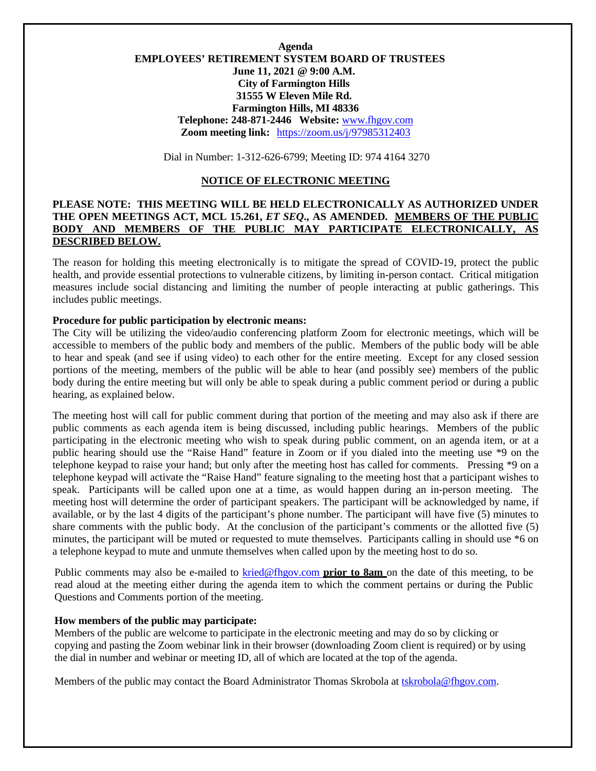# **Agenda EMPLOYEES' RETIREMENT SYSTEM BOARD OF TRUSTEES June 11, 2021 @ 9:00 A.M. City of Farmington Hills 31555 W Eleven Mile Rd. Farmington Hills, MI 48336 Telephone: 248-871-2446 Website:** [www.fhgov.com](http://www.fhgov.com/) **Zoom meeting link:** <https://zoom.us/j/97985312403>

Dial in Number: 1-312-626-6799; Meeting ID: 974 4164 3270

#### **NOTICE OF ELECTRONIC MEETING**

# **PLEASE NOTE: THIS MEETING WILL BE HELD ELECTRONICALLY AS AUTHORIZED UNDER THE OPEN MEETINGS ACT, MCL 15.261,** *ET SEQ***., AS AMENDED. MEMBERS OF THE PUBLIC BODY AND MEMBERS OF THE PUBLIC MAY PARTICIPATE ELECTRONICALLY, AS DESCRIBED BELOW.**

The reason for holding this meeting electronically is to mitigate the spread of COVID-19, protect the public health, and provide essential protections to vulnerable citizens, by limiting in-person contact. Critical mitigation measures include social distancing and limiting the number of people interacting at public gatherings. This includes public meetings.

### **Procedure for public participation by electronic means:**

The City will be utilizing the video/audio conferencing platform Zoom for electronic meetings, which will be accessible to members of the public body and members of the public. Members of the public body will be able to hear and speak (and see if using video) to each other for the entire meeting. Except for any closed session portions of the meeting, members of the public will be able to hear (and possibly see) members of the public body during the entire meeting but will only be able to speak during a public comment period or during a public hearing, as explained below.

The meeting host will call for public comment during that portion of the meeting and may also ask if there are public comments as each agenda item is being discussed, including public hearings. Members of the public participating in the electronic meeting who wish to speak during public comment, on an agenda item, or at a public hearing should use the "Raise Hand" feature in Zoom or if you dialed into the meeting use \*9 on the telephone keypad to raise your hand; but only after the meeting host has called for comments. Pressing \*9 on a telephone keypad will activate the "Raise Hand" feature signaling to the meeting host that a participant wishes to speak. Participants will be called upon one at a time, as would happen during an in-person meeting. The meeting host will determine the order of participant speakers. The participant will be acknowledged by name, if available, or by the last 4 digits of the participant's phone number. The participant will have five (5) minutes to share comments with the public body.At the conclusion of the participant's comments or the allotted five (5) minutes, the participant will be muted or requested to mute themselves. Participants calling in should use \*6 on a telephone keypad to mute and unmute themselves when called upon by the meeting host to do so.

Public comments may also be e-mailed to [kried@fhgov.com](mailto:kried@fhgov.com) **prior to 8am** on the date of this meeting, to be read aloud at the meeting either during the agenda item to which the comment pertains or during the Public Questions and Comments portion of the meeting.

### **How members of the public may participate:**

Members of the public are welcome to participate in the electronic meeting and may do so by clicking or copying and pasting the Zoom webinar link in their browser (downloading Zoom client is required) or by using the dial in number and webinar or meeting ID, all of which are located at the top of the agenda.

Members of the public may contact the Board Administrator Thomas Skrobola at [tskrobola@fhgov.com.](mailto:tskrobola@fhgov.com)